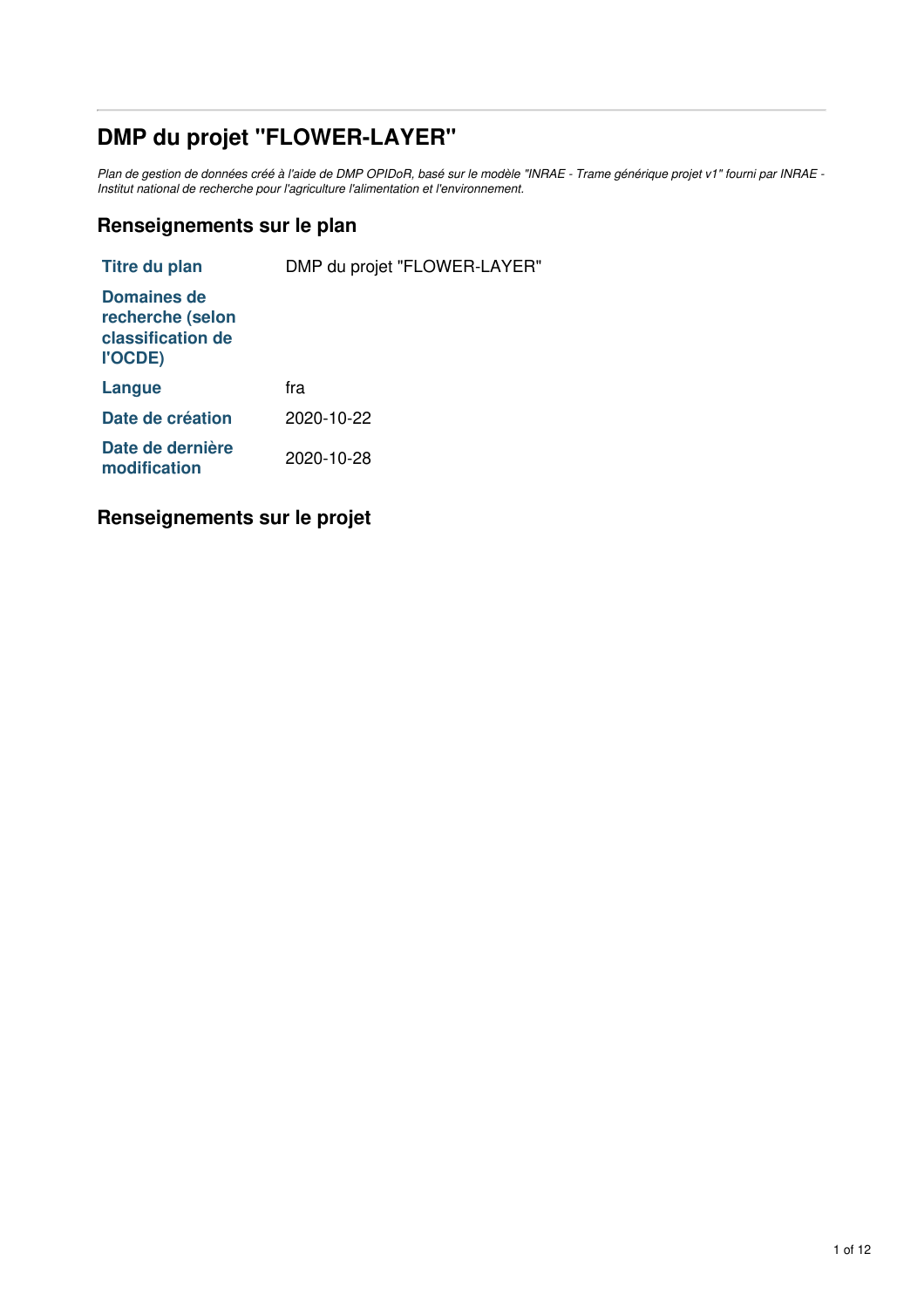# **DMP du projet "FLOWER-LAYER"**

Plan de gestion de données créé à l'aide de DMP OPIDoR, basé sur le modèle "INRAE - Trame générique projet v1" fourni par INRAE -*Institut national de recherche pour l'agriculture l'alimentation et l'environnement.*

## **Renseignements sur le plan**

| Titre du plan                                                          | DMP du projet "FLOWER-LAYER" |
|------------------------------------------------------------------------|------------------------------|
| Domaines de<br>recherche (selon<br>classification de<br><b>I'OCDE)</b> |                              |
| Langue                                                                 | fra                          |
| Date de création                                                       | 2020-10-22                   |
| Date de dernière<br>modification                                       | 2020-10-28                   |

**Renseignements sur le projet**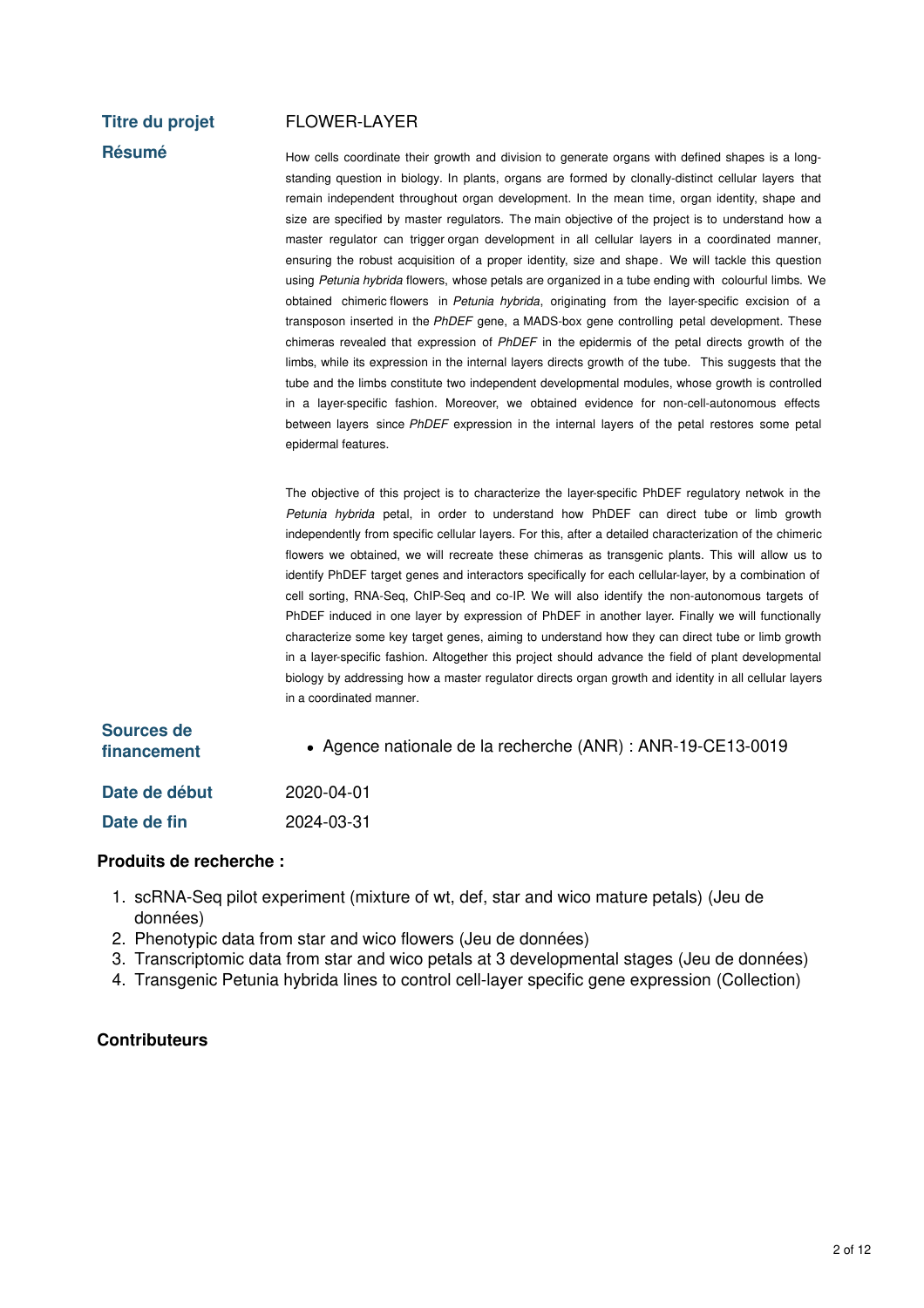#### **Titre du projet** FLOWER-LAYER

**Résumé** How cells coordinate their growth and division to generate organs with defined shapes is a longstanding question in biology. In plants, organs are formed by clonally-distinct cellular layers that remain independent throughout organ development. In the mean time, organ identity, shape and size are specified by master regulators. The main objective of the project is to understand how a master regulator can trigger organ development in all cellular layers in a coordinated manner, ensuring the robust acquisition of a proper identity, size and shape. We will tackle this question using *Petunia hybrida* flowers, whose petals are organized in a tube ending with colourful limbs. We obtained chimeric flowers in *Petunia hybrida*, originating from the layer-specific excision of a transposon inserted in the *PhDEF* gene, a MADS-box gene controlling petal development. These chimeras revealed that expression of *PhDEF* in the epidermis of the petal directs growth of the limbs, while its expression in the internal layers directs growth of the tube. This suggests that the tube and the limbs constitute two independent developmental modules, whose growth is controlled in a layer-specific fashion. Moreover, we obtained evidence for non-cell-autonomous effects between layers since *PhDEF* expression in the internal layers of the petal restores some petal epidermal features.

> The objective of this project is to characterize the layer-specific PhDEF regulatory netwok in the *Petunia hybrida* petal, in order to understand how PhDEF can direct tube or limb growth independently from specific cellular layers. For this, after a detailed characterization of the chimeric flowers we obtained, we will recreate these chimeras as transgenic plants. This will allow us to identify PhDEF target genes and interactors specifically for each cellular-layer, by a combination of cell sorting, RNA-Seq, ChIP-Seq and co-IP. We will also identify the non-autonomous targets of PhDEF induced in one layer by expression of PhDEF in another layer. Finally we will functionally characterize some key target genes, aiming to understand how they can direct tube or limb growth in a layer-specific fashion. Altogether this project should advance the field of plant developmental biology by addressing how a master regulator directs organ growth and identity in all cellular layers in a coordinated manner.

**Sources de**

financement • Agence nationale de la recherche (ANR) : ANR-19-CE13-0019

| Date de début | 2020-04-01 |
|---------------|------------|
| Date de fin   | 2024-03-31 |

#### **Produits de recherche :**

- 1. scRNA-Seq pilot experiment (mixture of wt, def, star and wico mature petals) (Jeu de données)
- 2. Phenotypic data from star and wico flowers (Jeu de données)
- 3. Transcriptomic data from star and wico petals at 3 developmental stages (Jeu de données)
- 4. Transgenic Petunia hybrida lines to control cell-layer specific gene expression (Collection)

### **Contributeurs**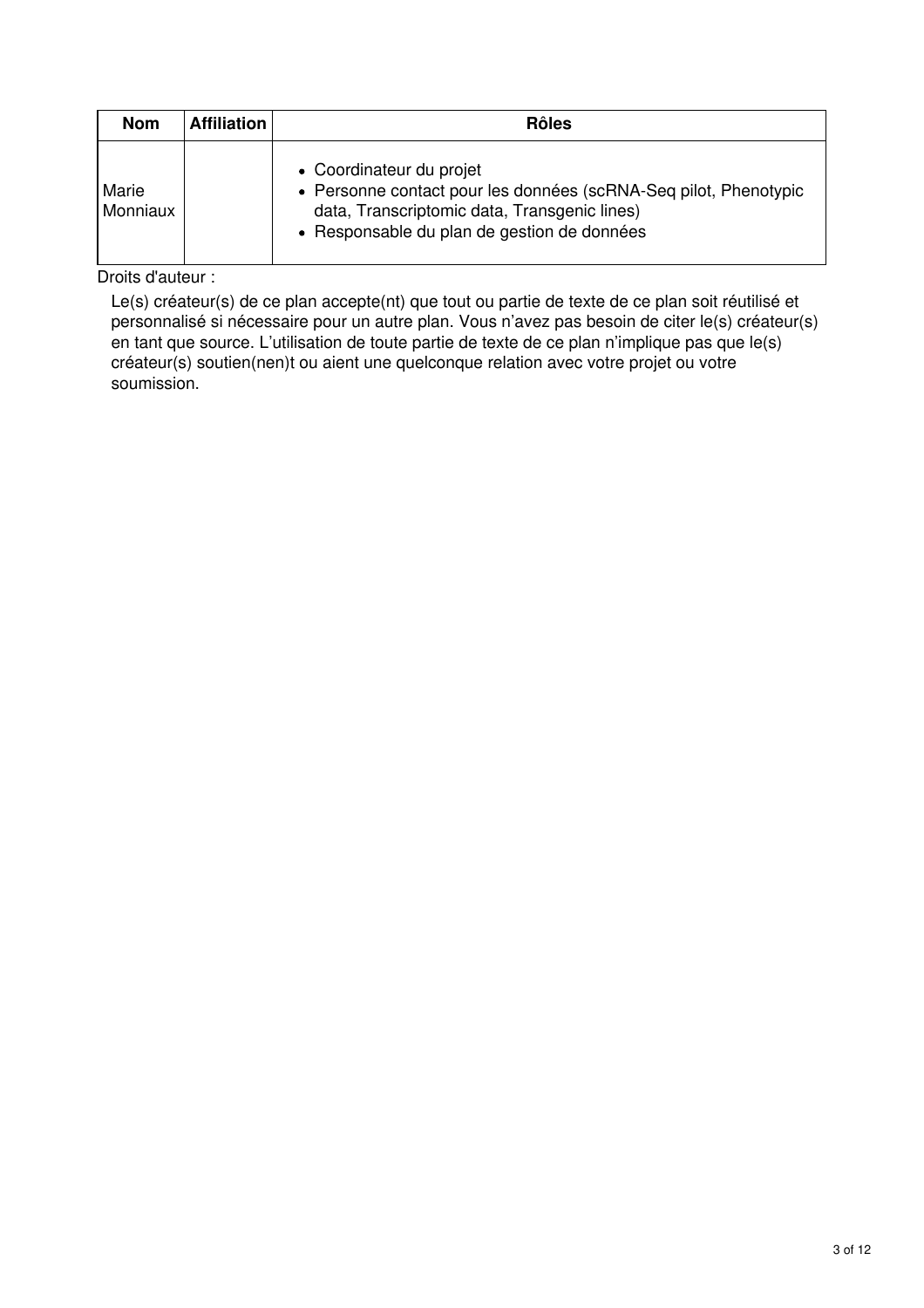| <b>Nom</b>        | <b>Affiliation</b> | <b>Rôles</b>                                                                                                                                                                                |
|-------------------|--------------------|---------------------------------------------------------------------------------------------------------------------------------------------------------------------------------------------|
| Marie<br>Monniaux |                    | • Coordinateur du projet<br>• Personne contact pour les données (scRNA-Seq pilot, Phenotypic<br>data, Transcriptomic data, Transgenic lines)<br>• Responsable du plan de gestion de données |

Droits d'auteur :

Le(s) créateur(s) de ce plan accepte(nt) que tout ou partie de texte de ce plan soit réutilisé et personnalisé si nécessaire pour un autre plan. Vous n'avez pas besoin de citer le(s) créateur(s) en tant que source. L'utilisation de toute partie de texte de ce plan n'implique pas que le(s) créateur(s) soutien(nen)t ou aient une quelconque relation avec votre projet ou votre soumission.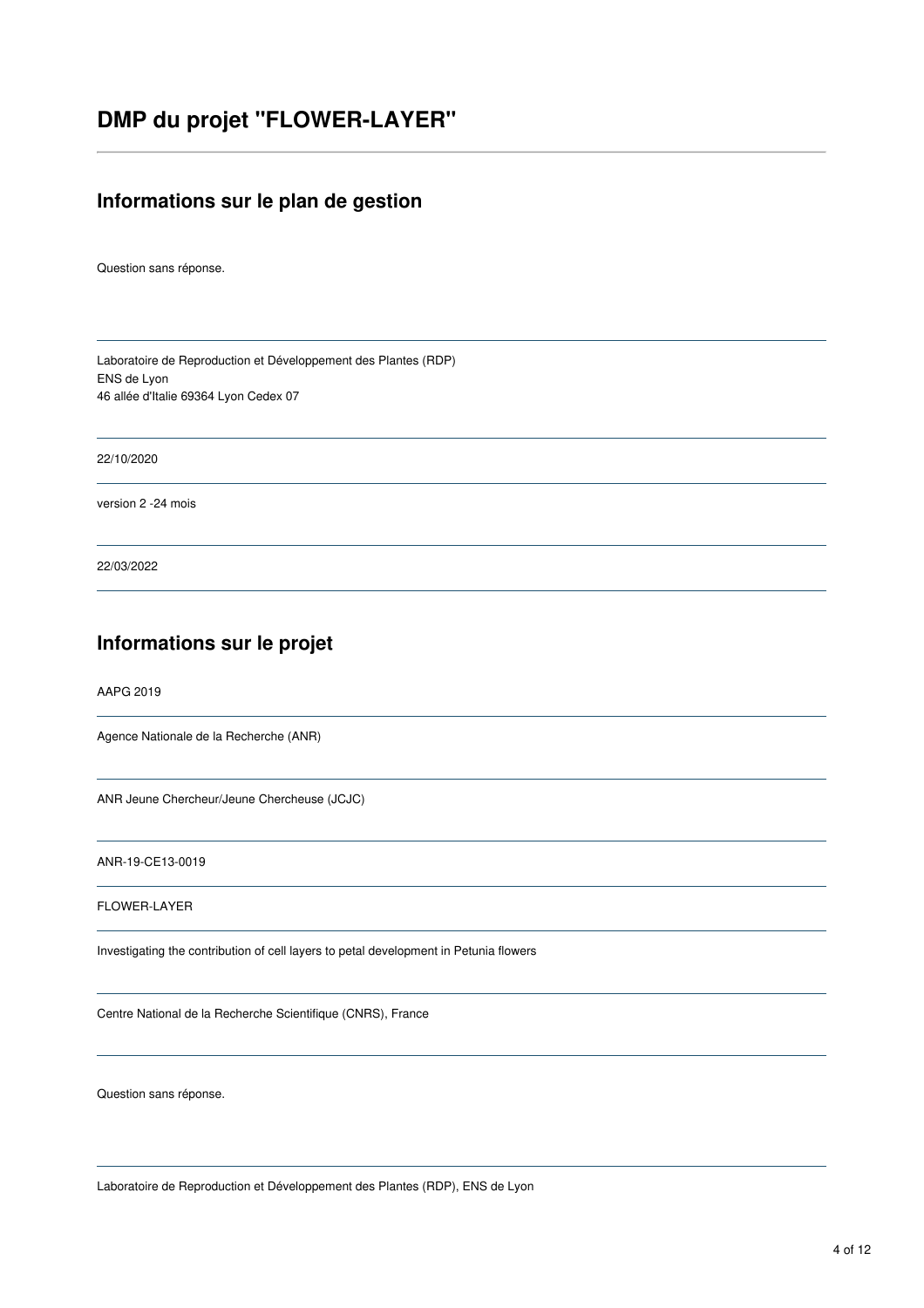# **DMP du projet "FLOWER-LAYER"**

### **Informations sur le plan de gestion**

Question sans réponse.

Laboratoire de Reproduction et Développement des Plantes (RDP) ENS de Lyon 46 allée d'Italie 69364 Lyon Cedex 07

22/10/2020

version 2 -24 mois

22/03/2022

## **Informations sur le projet**

AAPG 2019

Agence Nationale de la Recherche (ANR)

ANR Jeune Chercheur/Jeune Chercheuse (JCJC)

ANR-19-CE13-0019

FLOWER-LAYER

Investigating the contribution of cell layers to petal development in Petunia flowers

Centre National de la Recherche Scientifique (CNRS), France

Question sans réponse.

Laboratoire de Reproduction et Développement des Plantes (RDP), ENS de Lyon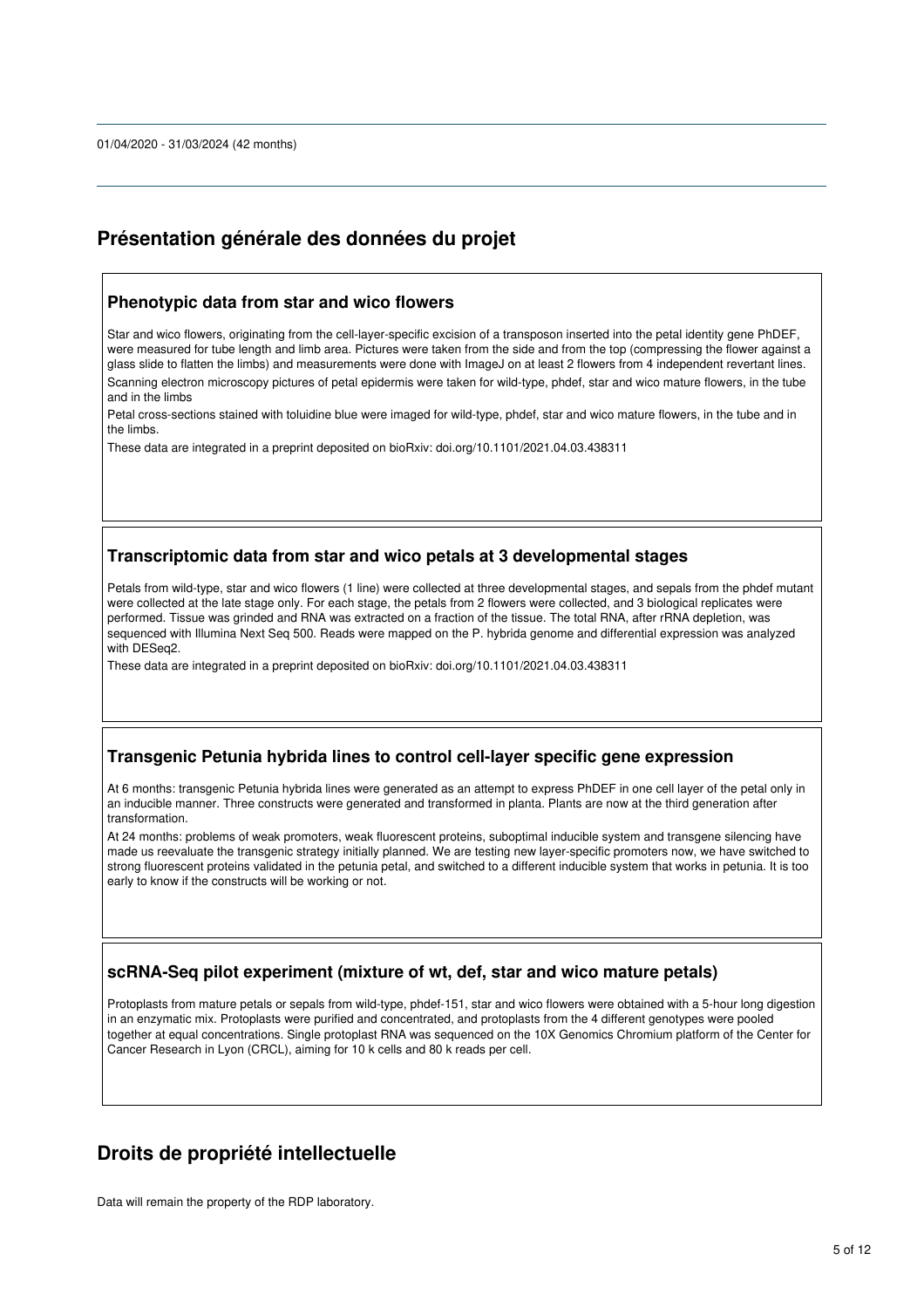## **Présentation générale des données du projet**

#### **Phenotypic data from star and wico flowers**

Star and wico flowers, originating from the cell-layer-specific excision of a transposon inserted into the petal identity gene PhDEF, were measured for tube length and limb area. Pictures were taken from the side and from the top (compressing the flower against a glass slide to flatten the limbs) and measurements were done with ImageJ on at least 2 flowers from 4 independent revertant lines. Scanning electron microscopy pictures of petal epidermis were taken for wild-type, phdef, star and wico mature flowers, in the tube and in the limbs

Petal cross-sections stained with toluidine blue were imaged for wild-type, phdef, star and wico mature flowers, in the tube and in the limbs.

These data are integrated in a preprint deposited on bioRxiv: doi.org/10.1101/2021.04.03.438311

#### **Transcriptomic data from star and wico petals at 3 developmental stages**

Petals from wild-type, star and wico flowers (1 line) were collected at three developmental stages, and sepals from the phdef mutant were collected at the late stage only. For each stage, the petals from 2 flowers were collected, and 3 biological replicates were performed. Tissue was grinded and RNA was extracted on a fraction of the tissue. The total RNA, after rRNA depletion, was sequenced with Illumina Next Seq 500. Reads were mapped on the P. hybrida genome and differential expression was analyzed with DESeq2.

These data are integrated in a preprint deposited on bioRxiv: doi.org/10.1101/2021.04.03.438311

#### **Transgenic Petunia hybrida lines to control cell-layer specific gene expression**

At 6 months: transgenic Petunia hybrida lines were generated as an attempt to express PhDEF in one cell layer of the petal only in an inducible manner. Three constructs were generated and transformed in planta. Plants are now at the third generation after transformation.

At 24 months: problems of weak promoters, weak fluorescent proteins, suboptimal inducible system and transgene silencing have made us reevaluate the transgenic strategy initially planned. We are testing new layer-specific promoters now, we have switched to strong fluorescent proteins validated in the petunia petal, and switched to a different inducible system that works in petunia. It is too early to know if the constructs will be working or not.

#### **scRNA-Seq pilot experiment (mixture of wt, def, star and wico mature petals)**

Protoplasts from mature petals or sepals from wild-type, phdef-151, star and wico flowers were obtained with a 5-hour long digestion in an enzymatic mix. Protoplasts were purified and concentrated, and protoplasts from the 4 different genotypes were pooled together at equal concentrations. Single protoplast RNA was sequenced on the 10X Genomics Chromium platform of the Center for Cancer Research in Lyon (CRCL), aiming for 10 k cells and 80 k reads per cell.

### **Droits de propriété intellectuelle**

Data will remain the property of the RDP laboratory.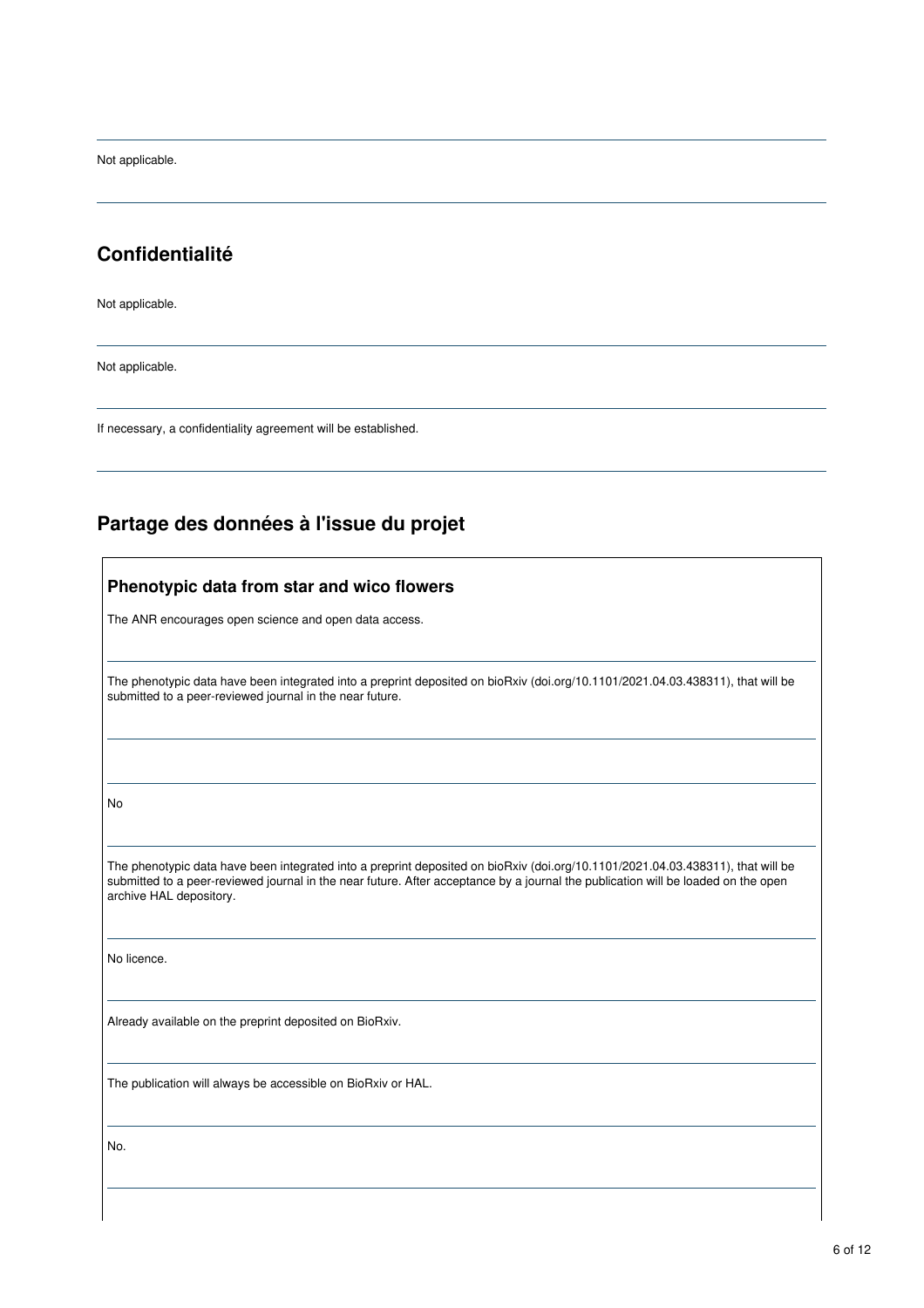Not applicable.

# **Confidentialité**

Not applicable.

Not applicable.

If necessary, a confidentiality agreement will be established.

# **Partage des données à l'issue du projet**

| Phenotypic data from star and wico flowers                                                                                                                                                                                                                                                      |  |  |  |  |
|-------------------------------------------------------------------------------------------------------------------------------------------------------------------------------------------------------------------------------------------------------------------------------------------------|--|--|--|--|
| The ANR encourages open science and open data access.                                                                                                                                                                                                                                           |  |  |  |  |
| The phenotypic data have been integrated into a preprint deposited on bioRxiv (doi.org/10.1101/2021.04.03.438311), that will be<br>submitted to a peer-reviewed journal in the near future.                                                                                                     |  |  |  |  |
| No                                                                                                                                                                                                                                                                                              |  |  |  |  |
| The phenotypic data have been integrated into a preprint deposited on bioRxiv (doi.org/10.1101/2021.04.03.438311), that will be<br>submitted to a peer-reviewed journal in the near future. After acceptance by a journal the publication will be loaded on the open<br>archive HAL depository. |  |  |  |  |
| No licence.                                                                                                                                                                                                                                                                                     |  |  |  |  |
| Already available on the preprint deposited on BioRxiv.                                                                                                                                                                                                                                         |  |  |  |  |
| The publication will always be accessible on BioRxiv or HAL.                                                                                                                                                                                                                                    |  |  |  |  |
| No.                                                                                                                                                                                                                                                                                             |  |  |  |  |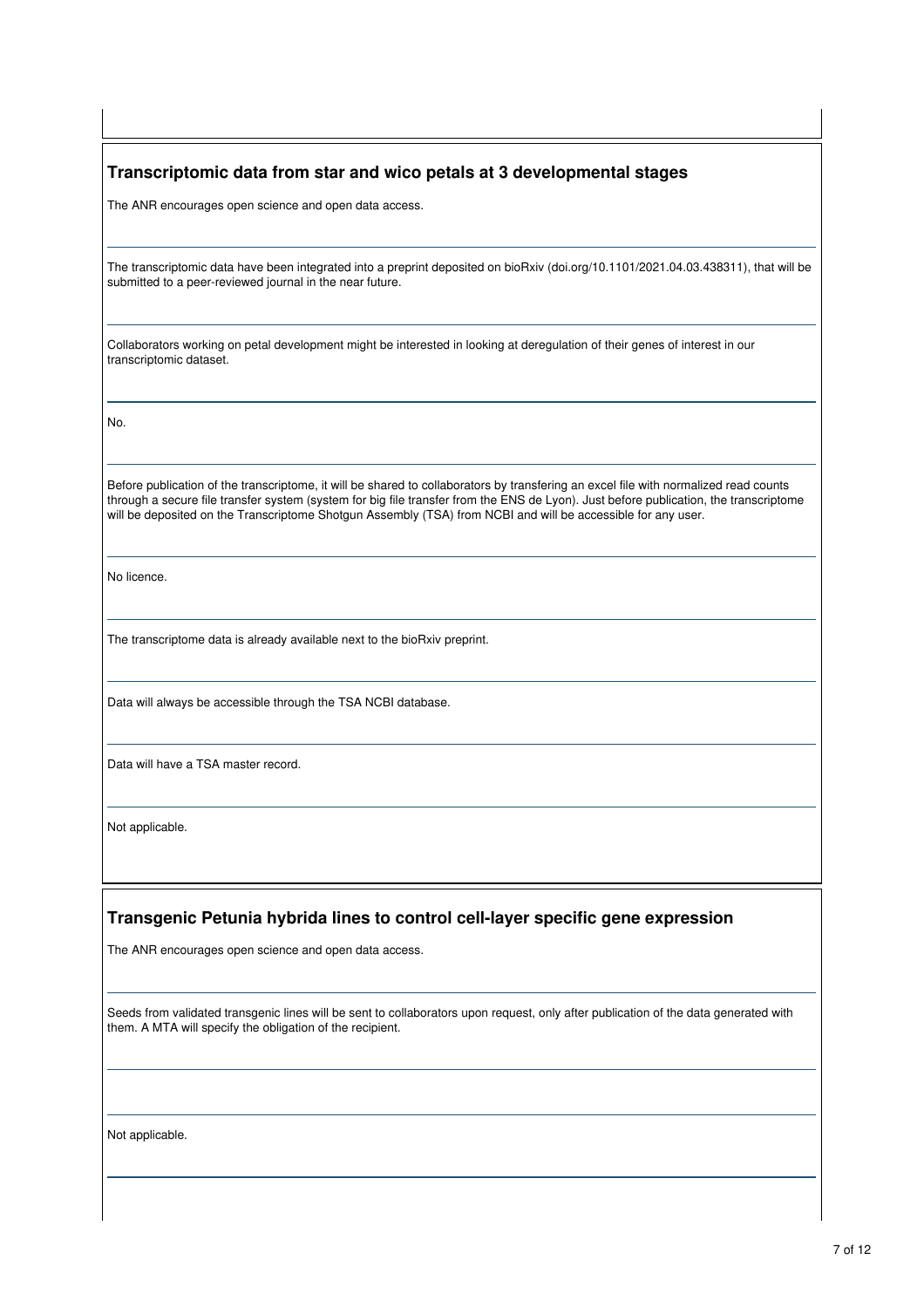#### **Transcriptomic data from star and wico petals at 3 developmental stages**

The ANR encourages open science and open data access.

The transcriptomic data have been integrated into a preprint deposited on bioRxiv (doi.org/10.1101/2021.04.03.438311), that will be submitted to a peer-reviewed journal in the near future.

Collaborators working on petal development might be interested in looking at deregulation of their genes of interest in our transcriptomic dataset.

No.

Before publication of the transcriptome, it will be shared to collaborators by transfering an excel file with normalized read counts through a secure file transfer system (system for big file transfer from the ENS de Lyon). Just before publication, the transcriptome will be deposited on the Transcriptome Shotgun Assembly (TSA) from NCBI and will be accessible for any user.

No licence.

The transcriptome data is already available next to the bioRxiv preprint.

Data will always be accessible through the TSA NCBI database.

Data will have a TSA master record.

Not applicable.

### **Transgenic Petunia hybrida lines to control cell-layer specific gene expression**

The ANR encourages open science and open data access.

Seeds from validated transgenic lines will be sent to collaborators upon request, only after publication of the data generated with them. A MTA will specify the obligation of the recipient.

Not applicable.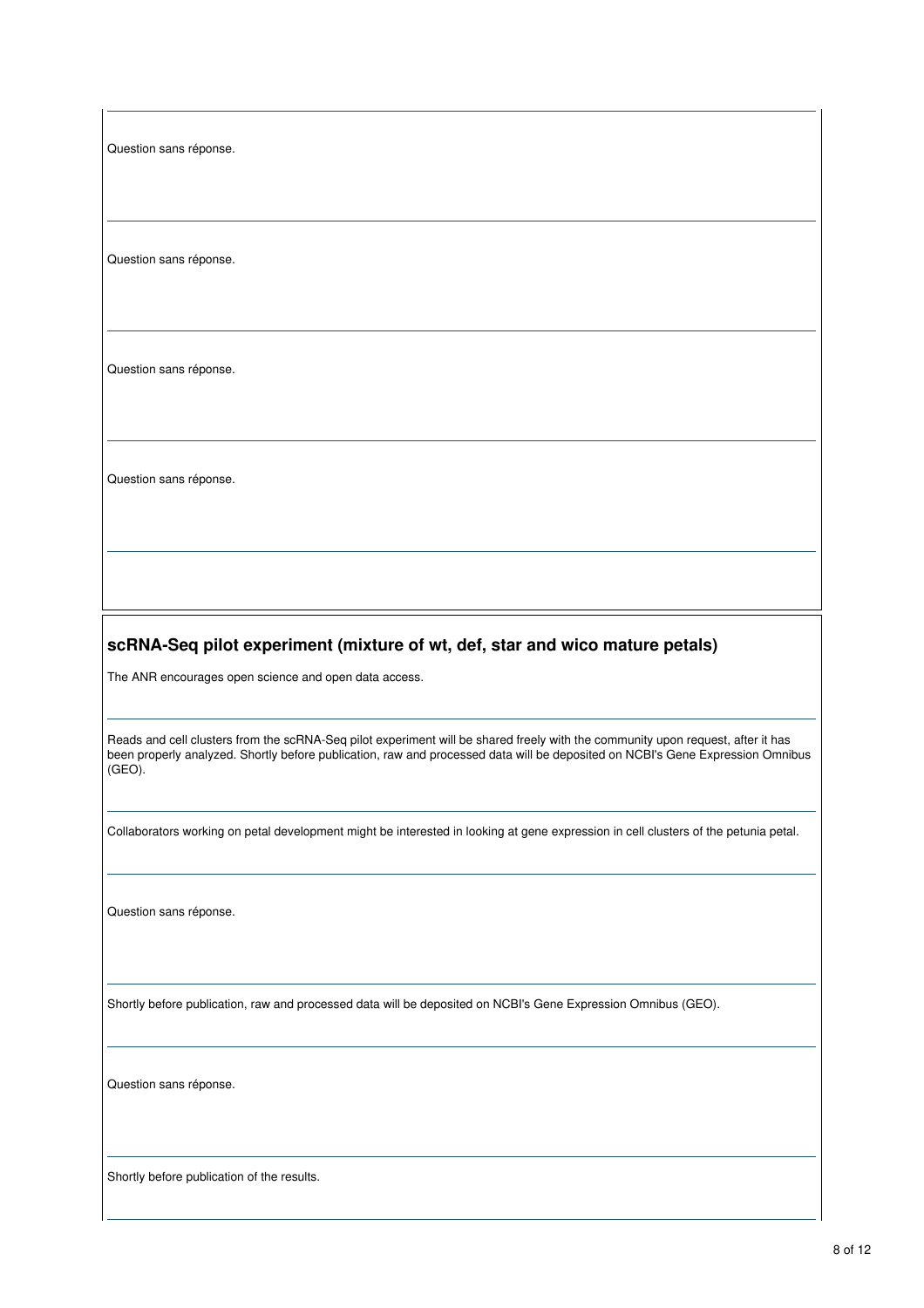Question sans réponse. Question sans réponse. Question sans réponse. Question sans réponse. **scRNA-Seq pilot experiment (mixture of wt, def, star and wico mature petals)** The ANR encourages open science and open data access. Reads and cell clusters from the scRNA-Seq pilot experiment will be shared freely with the community upon request, after it has been properly analyzed. Shortly before publication, raw and processed data will be deposited on NCBI's Gene Expression Omnibus (GEO). Collaborators working on petal development might be interested in looking at gene expression in cell clusters of the petunia petal. Question sans réponse. Shortly before publication, raw and processed data will be deposited on NCBI's Gene Expression Omnibus (GEO). Question sans réponse. Shortly before publication of the results.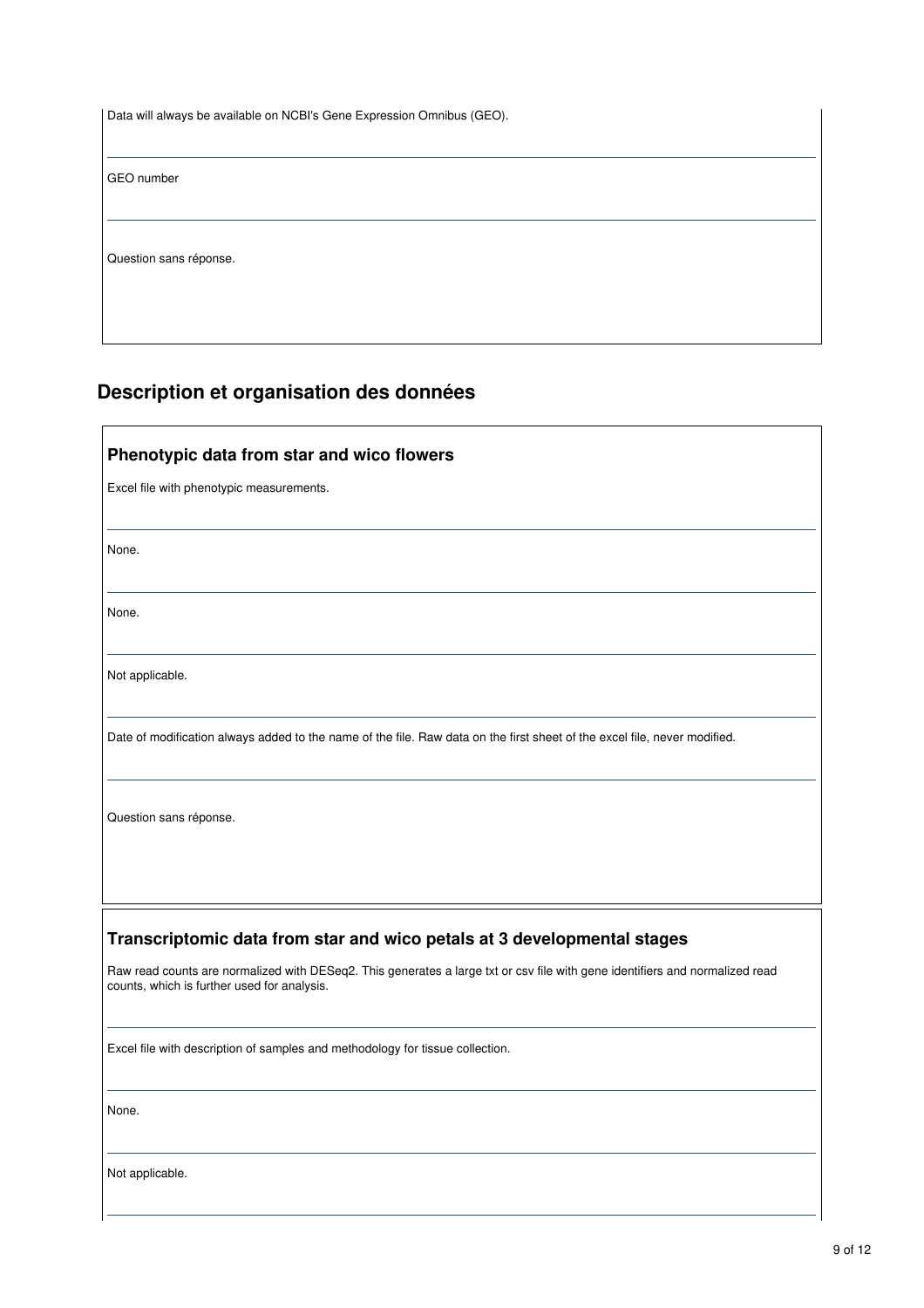Data will always be available on NCBI's Gene Expression Omnibus (GEO).

Question sans réponse.

# **Description et organisation des données**

|                                             | Phenotypic data from star and wico flowers                                                                                                                                                              |
|---------------------------------------------|---------------------------------------------------------------------------------------------------------------------------------------------------------------------------------------------------------|
| Excel file with phenotypic measurements.    |                                                                                                                                                                                                         |
| None.                                       |                                                                                                                                                                                                         |
| None.                                       |                                                                                                                                                                                                         |
| Not applicable.                             |                                                                                                                                                                                                         |
|                                             | Date of modification always added to the name of the file. Raw data on the first sheet of the excel file, never modified.                                                                               |
| Question sans réponse.                      |                                                                                                                                                                                                         |
|                                             | Transcriptomic data from star and wico petals at 3 developmental stages<br>Raw read counts are normalized with DESeq2. This generates a large txt or csv file with gene identifiers and normalized read |
| counts, which is further used for analysis. |                                                                                                                                                                                                         |
|                                             | Excel file with description of samples and methodology for tissue collection.                                                                                                                           |
| None.                                       |                                                                                                                                                                                                         |
|                                             |                                                                                                                                                                                                         |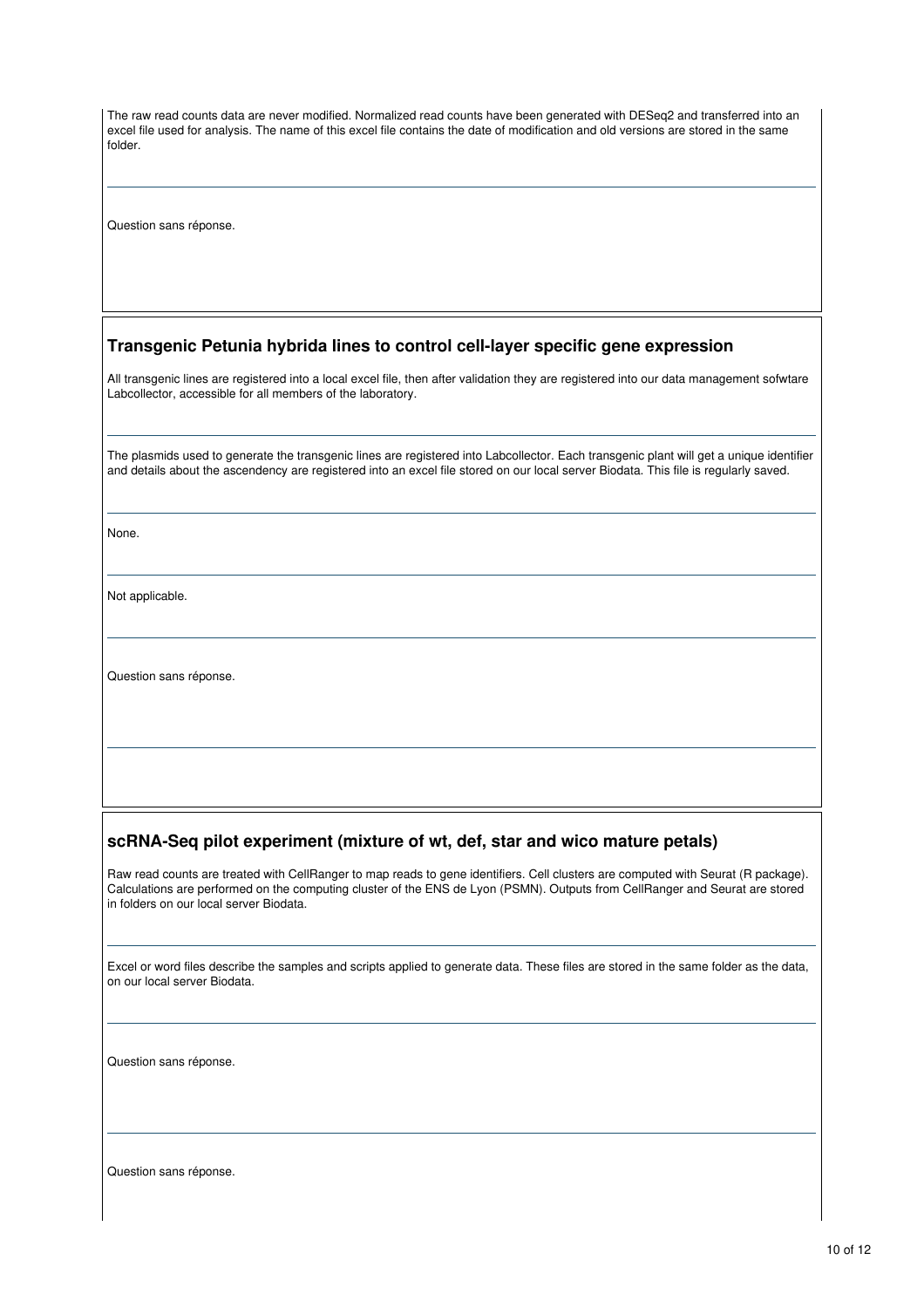| The raw read counts data are never modified. Normalized read counts have been generated with DESeq2 and transferred into an<br>excel file used for analysis. The name of this excel file contains the date of modification and old versions are stored in the same<br>folder.                                |
|--------------------------------------------------------------------------------------------------------------------------------------------------------------------------------------------------------------------------------------------------------------------------------------------------------------|
| Question sans réponse.                                                                                                                                                                                                                                                                                       |
|                                                                                                                                                                                                                                                                                                              |
| Transgenic Petunia hybrida lines to control cell-layer specific gene expression                                                                                                                                                                                                                              |
| All transgenic lines are registered into a local excel file, then after validation they are registered into our data management sofwtare<br>Labcollector, accessible for all members of the laboratory.                                                                                                      |
| The plasmids used to generate the transgenic lines are registered into Labcollector. Each transgenic plant will get a unique identifier<br>and details about the ascendency are registered into an excel file stored on our local server Biodata. This file is regularly saved.                              |
| None.                                                                                                                                                                                                                                                                                                        |
| Not applicable.                                                                                                                                                                                                                                                                                              |
| Question sans réponse.                                                                                                                                                                                                                                                                                       |
|                                                                                                                                                                                                                                                                                                              |
| scRNA-Seq pilot experiment (mixture of wt, def, star and wico mature petals)                                                                                                                                                                                                                                 |
| Raw read counts are treated with CellRanger to map reads to gene identifiers. Cell clusters are computed with Seurat (R package).<br>Calculations are performed on the computing cluster of the ENS de Lyon (PSMN). Outputs from CellRanger and Seurat are stored<br>in folders on our local server Biodata. |
| Excel or word files describe the samples and scripts applied to generate data. These files are stored in the same folder as the data,<br>on our local server Biodata.                                                                                                                                        |
| Question sans réponse.                                                                                                                                                                                                                                                                                       |
|                                                                                                                                                                                                                                                                                                              |

Question sans réponse.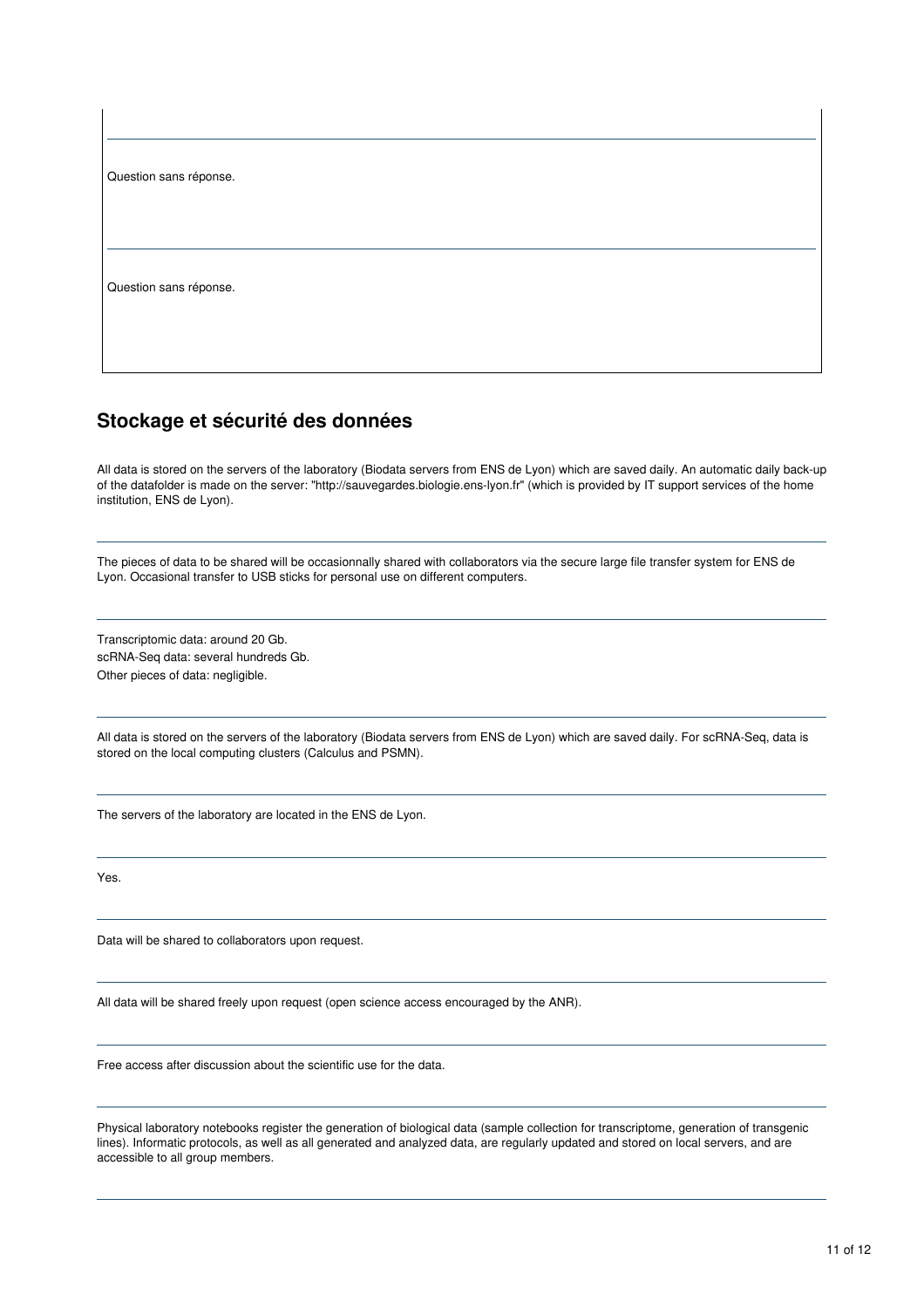| Question sans réponse. |  |  |
|------------------------|--|--|
|                        |  |  |
|                        |  |  |
| Question sans réponse. |  |  |
|                        |  |  |

# **Stockage et sécurité des données**

All data is stored on the servers of the laboratory (Biodata servers from ENS de Lyon) which are saved daily. An automatic daily back-up of the datafolder is made on the server: "http://sauvegardes.biologie.ens-lyon.fr" (which is provided by IT support services of the home institution, ENS de Lyon).

The pieces of data to be shared will be occasionnally shared with collaborators via the secure large file transfer system for ENS de Lyon. Occasional transfer to USB sticks for personal use on different computers.

Transcriptomic data: around 20 Gb. scRNA-Seq data: several hundreds Gb. Other pieces of data: negligible.

All data is stored on the servers of the laboratory (Biodata servers from ENS de Lyon) which are saved daily. For scRNA-Seq, data is stored on the local computing clusters (Calculus and PSMN).

The servers of the laboratory are located in the ENS de Lyon.

Yes.

Data will be shared to collaborators upon request.

All data will be shared freely upon request (open science access encouraged by the ANR).

Free access after discussion about the scientific use for the data.

Physical laboratory notebooks register the generation of biological data (sample collection for transcriptome, generation of transgenic lines). Informatic protocols, as well as all generated and analyzed data, are regularly updated and stored on local servers, and are accessible to all group members.